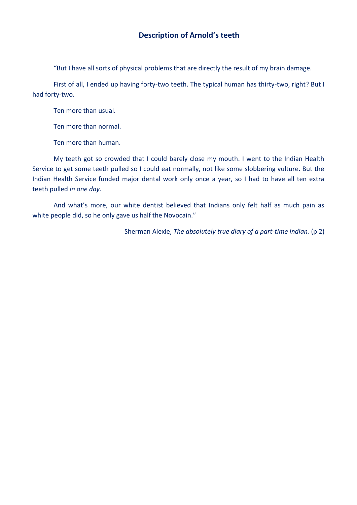## **Description of Arnold's teeth**

"But I have all sorts of physical problems that are directly the result of my brain damage.

First of all, I ended up having forty-two teeth. The typical human has thirty-two, right? But I had forty-two.

Ten more than usual.

Ten more than normal.

Ten more than human.

My teeth got so crowded that I could barely close my mouth. I went to the Indian Health Service to get some teeth pulled so I could eat normally, not like some slobbering vulture. But the Indian Health Service funded major dental work only once a year, so I had to have all ten extra teeth pulled *in one day*.

And what's more, our white dentist believed that Indians only felt half as much pain as white people did, so he only gave us half the Novocain."

Sherman Alexie, *The absolutely true diary of a part-time Indian.* (p 2)